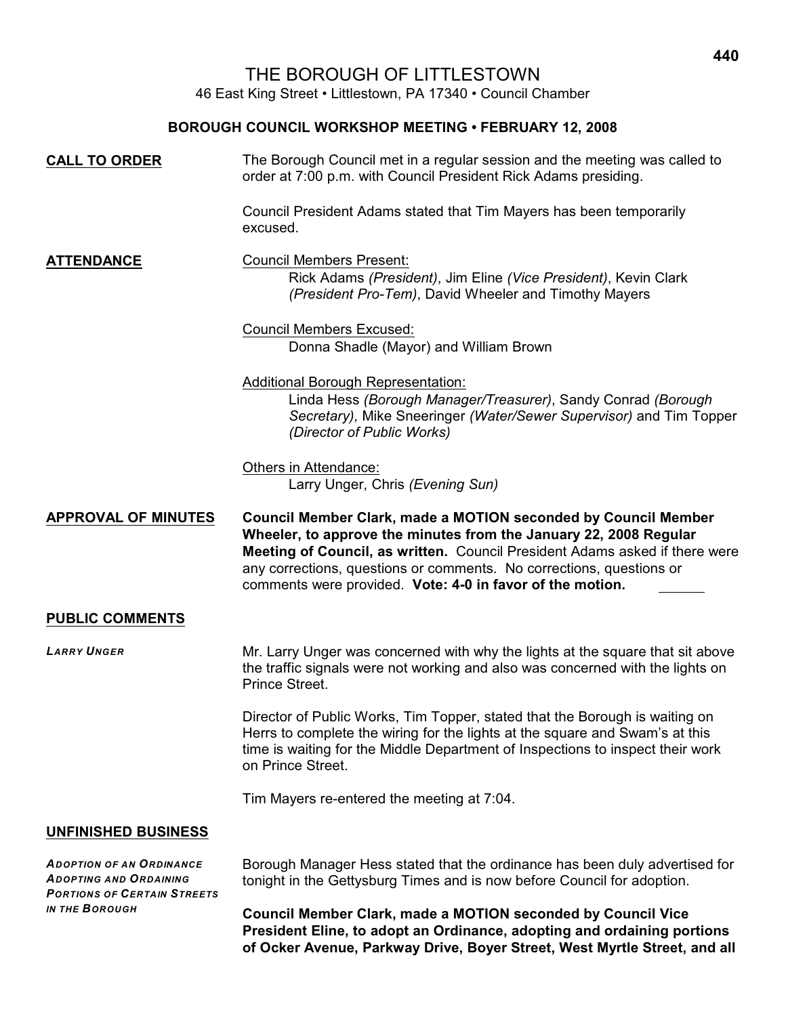# THE BOROUGH OF LITTLESTOWN

46 East King Street • Littlestown, PA 17340 • Council Chamber

#### **BOROUGH COUNCIL WORKSHOP MEETING • FEBRUARY 12, 2008**

| <b>CALL TO ORDER</b>       | The Borough Council met in a regular session and the meeting was called to<br>order at 7:00 p.m. with Council President Rick Adams presiding.                                                                                                                                                                                                           |
|----------------------------|---------------------------------------------------------------------------------------------------------------------------------------------------------------------------------------------------------------------------------------------------------------------------------------------------------------------------------------------------------|
|                            | Council President Adams stated that Tim Mayers has been temporarily<br>excused.                                                                                                                                                                                                                                                                         |
| <b>ATTENDANCE</b>          | <b>Council Members Present:</b><br>Rick Adams (President), Jim Eline (Vice President), Kevin Clark<br>(President Pro-Tem), David Wheeler and Timothy Mayers                                                                                                                                                                                             |
|                            | <b>Council Members Excused:</b><br>Donna Shadle (Mayor) and William Brown                                                                                                                                                                                                                                                                               |
|                            | <b>Additional Borough Representation:</b><br>Linda Hess (Borough Manager/Treasurer), Sandy Conrad (Borough<br>Secretary), Mike Sneeringer (Water/Sewer Supervisor) and Tim Topper<br>(Director of Public Works)                                                                                                                                         |
|                            | Others in Attendance:<br>Larry Unger, Chris (Evening Sun)                                                                                                                                                                                                                                                                                               |
|                            |                                                                                                                                                                                                                                                                                                                                                         |
| <b>APPROVAL OF MINUTES</b> | Council Member Clark, made a MOTION seconded by Council Member<br>Wheeler, to approve the minutes from the January 22, 2008 Regular<br>Meeting of Council, as written. Council President Adams asked if there were<br>any corrections, questions or comments. No corrections, questions or<br>comments were provided. Vote: 4-0 in favor of the motion. |
| <b>PUBLIC COMMENTS</b>     |                                                                                                                                                                                                                                                                                                                                                         |
| <b>LARRY UNGER</b>         | Mr. Larry Unger was concerned with why the lights at the square that sit above<br>the traffic signals were not working and also was concerned with the lights on<br>Prince Street.                                                                                                                                                                      |
|                            | Director of Public Works, Tim Topper, stated that the Borough is waiting on<br>Herrs to complete the wiring for the lights at the square and Swam's at this<br>time is waiting for the Middle Department of Inspections to inspect their work<br>on Prince Street.                                                                                      |
|                            | Tim Mayers re-entered the meeting at 7:04.                                                                                                                                                                                                                                                                                                              |

*ADOPTION OF AN ORDINANCE ADOPTING AND ORDAINING PORTIONS OF CERTAIN STREETS IN THE BOROUGH*

Borough Manager Hess stated that the ordinance has been duly advertised for tonight in the Gettysburg Times and is now before Council for adoption.

**Council Member Clark, made a MOTION seconded by Council Vice President Eline, to adopt an Ordinance, adopting and ordaining portions of Ocker Avenue, Parkway Drive, Boyer Street, West Myrtle Street, and all**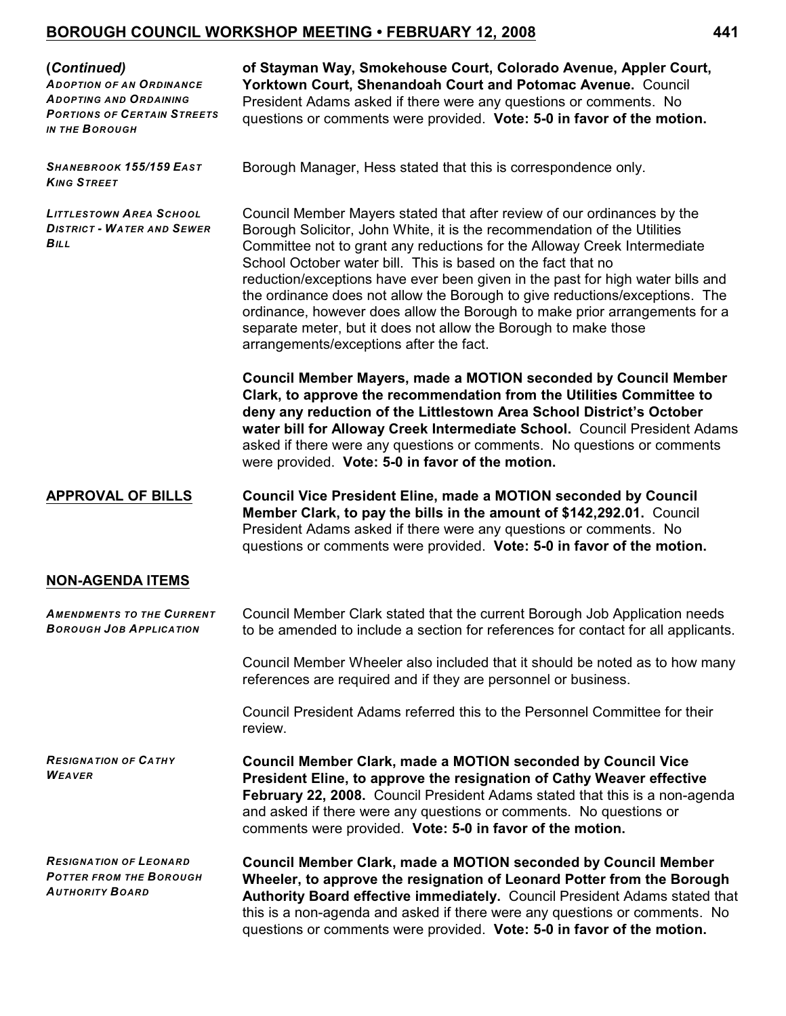## **BOROUGH COUNCIL WORKSHOP MEETING • FEBRUARY 12, 2008 441**

#### **(***Continued)*

*ADOPTION OF AN ORDINANCE ADOPTING AND ORDAINING PORTIONS OF CERTAIN STREETS IN THE BOROUGH*

**of Stayman Way, Smokehouse Court, Colorado Avenue, Appler Court, Yorktown Court, Shenandoah Court and Potomac Avenue.** Council President Adams asked if there were any questions or comments. No questions or comments were provided. **Vote: 5-0 in favor of the motion.**

*SHANEBROOK 155/159 EAST KING STREET*

*LITTLESTOWN AREA SCHOOL DISTRICT - WATER AND SEWER BILL*

Borough Manager, Hess stated that this is correspondence only.

Council Member Mayers stated that after review of our ordinances by the Borough Solicitor, John White, it is the recommendation of the Utilities Committee not to grant any reductions for the Alloway Creek Intermediate School October water bill. This is based on the fact that no reduction/exceptions have ever been given in the past for high water bills and the ordinance does not allow the Borough to give reductions/exceptions. The ordinance, however does allow the Borough to make prior arrangements for a separate meter, but it does not allow the Borough to make those arrangements/exceptions after the fact.

**Council Member Mayers, made a MOTION seconded by Council Member Clark, to approve the recommendation from the Utilities Committee to deny any reduction of the Littlestown Area School District's October water bill for Alloway Creek Intermediate School.** Council President Adams asked if there were any questions or comments. No questions or comments were provided. **Vote: 5-0 in favor of the motion.**

**APPROVAL OF BILLS Council Vice President Eline, made a MOTION seconded by Council Member Clark, to pay the bills in the amount of \$142,292.01.** Council President Adams asked if there were any questions or comments. No questions or comments were provided. **Vote: 5-0 in favor of the motion.**

## **NON-AGENDA ITEMS**

| <b>AMENDMENTS TO THE CURRENT</b><br><b>BOROUGH JOB APPLICATION</b>                        | Council Member Clark stated that the current Borough Job Application needs<br>to be amended to include a section for references for contact for all applicants.                                                                                                                                                                                                |
|-------------------------------------------------------------------------------------------|----------------------------------------------------------------------------------------------------------------------------------------------------------------------------------------------------------------------------------------------------------------------------------------------------------------------------------------------------------------|
|                                                                                           | Council Member Wheeler also included that it should be noted as to how many<br>references are required and if they are personnel or business.                                                                                                                                                                                                                  |
|                                                                                           | Council President Adams referred this to the Personnel Committee for their<br>review.                                                                                                                                                                                                                                                                          |
| <b>RESIGNATION OF CATHY</b><br><b>WEAVER</b>                                              | <b>Council Member Clark, made a MOTION seconded by Council Vice</b><br>President Eline, to approve the resignation of Cathy Weaver effective<br>February 22, 2008. Council President Adams stated that this is a non-agenda<br>and asked if there were any questions or comments. No questions or<br>comments were provided. Vote: 5-0 in favor of the motion. |
| <b>RESIGNATION OF LEONARD</b><br><b>POTTER FROM THE BOROUGH</b><br><b>AUTHORITY BOARD</b> | <b>Council Member Clark, made a MOTION seconded by Council Member</b><br>Wheeler, to approve the resignation of Leonard Potter from the Borough<br>Authority Board effective immediately. Council President Adams stated that<br>this is a non-agenda and asked if there were any questions or comments. No                                                    |

questions or comments were provided. **Vote: 5-0 in favor of the motion.**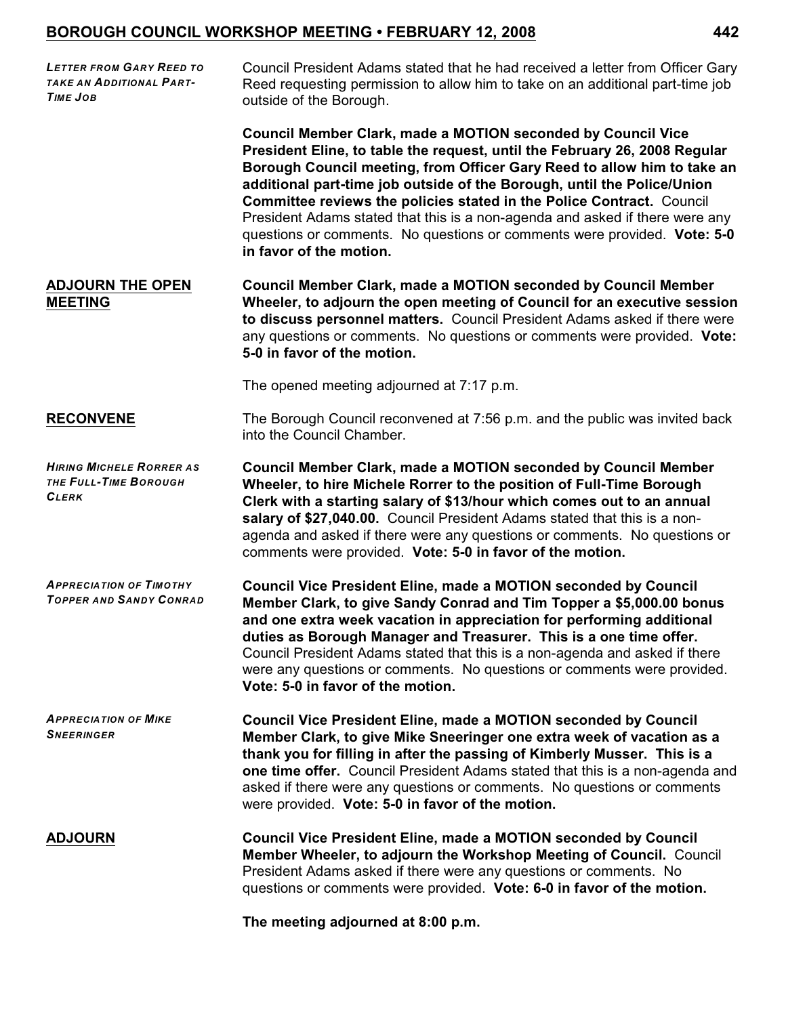# **BOROUGH COUNCIL WORKSHOP MEETING • FEBRUARY 12, 2008 442**

| <b>LETTER FROM GARY REED TO</b><br>TAKE AN ADDITIONAL PART-<br><b>TIME JOB</b> | Council President Adams stated that he had received a letter from Officer Gary<br>Reed requesting permission to allow him to take on an additional part-time job<br>outside of the Borough.                                                                                                                                                                                                                                                                                                                                                                             |
|--------------------------------------------------------------------------------|-------------------------------------------------------------------------------------------------------------------------------------------------------------------------------------------------------------------------------------------------------------------------------------------------------------------------------------------------------------------------------------------------------------------------------------------------------------------------------------------------------------------------------------------------------------------------|
|                                                                                | <b>Council Member Clark, made a MOTION seconded by Council Vice</b><br>President Eline, to table the request, until the February 26, 2008 Regular<br>Borough Council meeting, from Officer Gary Reed to allow him to take an<br>additional part-time job outside of the Borough, until the Police/Union<br>Committee reviews the policies stated in the Police Contract. Council<br>President Adams stated that this is a non-agenda and asked if there were any<br>questions or comments. No questions or comments were provided. Vote: 5-0<br>in favor of the motion. |
| <b>ADJOURN THE OPEN</b><br><b>MEETING</b>                                      | <b>Council Member Clark, made a MOTION seconded by Council Member</b><br>Wheeler, to adjourn the open meeting of Council for an executive session<br>to discuss personnel matters. Council President Adams asked if there were<br>any questions or comments. No questions or comments were provided. Vote:<br>5-0 in favor of the motion.                                                                                                                                                                                                                               |
|                                                                                | The opened meeting adjourned at 7:17 p.m.                                                                                                                                                                                                                                                                                                                                                                                                                                                                                                                               |
| <b>RECONVENE</b>                                                               | The Borough Council reconvened at 7:56 p.m. and the public was invited back<br>into the Council Chamber.                                                                                                                                                                                                                                                                                                                                                                                                                                                                |
| <b>HIRING MICHELE RORRER AS</b><br>THE FULL-TIME BOROUGH<br><b>CLERK</b>       | <b>Council Member Clark, made a MOTION seconded by Council Member</b><br>Wheeler, to hire Michele Rorrer to the position of Full-Time Borough<br>Clerk with a starting salary of \$13/hour which comes out to an annual<br>salary of \$27,040.00. Council President Adams stated that this is a non-<br>agenda and asked if there were any questions or comments. No questions or<br>comments were provided. Vote: 5-0 in favor of the motion.                                                                                                                          |
| <b>APPRECIATION OF TIMOTHY</b><br><b>TOPPER AND SANDY CONRAD</b>               | <b>Council Vice President Eline, made a MOTION seconded by Council</b><br>Member Clark, to give Sandy Conrad and Tim Topper a \$5,000.00 bonus<br>and one extra week vacation in appreciation for performing additional<br>duties as Borough Manager and Treasurer. This is a one time offer.<br>Council President Adams stated that this is a non-agenda and asked if there<br>were any questions or comments. No questions or comments were provided.<br>Vote: 5-0 in favor of the motion.                                                                            |
| <b>APPRECIATION OF MIKE</b><br><b>SNEERINGER</b>                               | <b>Council Vice President Eline, made a MOTION seconded by Council</b><br>Member Clark, to give Mike Sneeringer one extra week of vacation as a<br>thank you for filling in after the passing of Kimberly Musser. This is a<br>one time offer. Council President Adams stated that this is a non-agenda and<br>asked if there were any questions or comments. No questions or comments<br>were provided. Vote: 5-0 in favor of the motion.                                                                                                                              |
| <b>ADJOURN</b>                                                                 | <b>Council Vice President Eline, made a MOTION seconded by Council</b><br>Member Wheeler, to adjourn the Workshop Meeting of Council. Council<br>President Adams asked if there were any questions or comments. No<br>questions or comments were provided. Vote: 6-0 in favor of the motion.                                                                                                                                                                                                                                                                            |
|                                                                                | The meeting adjourned at 8:00 p.m.                                                                                                                                                                                                                                                                                                                                                                                                                                                                                                                                      |